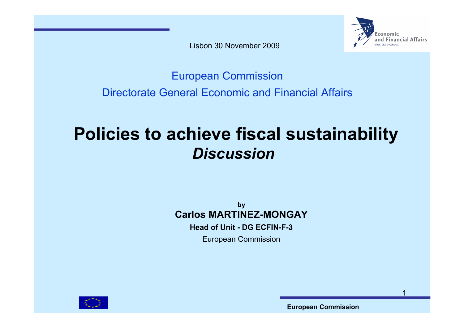Lisbon 30 November 2009



#### European Commission Directorate General Economic and Financial Affairs

# **Policies to achieve fiscal sustainability** *Discussion*

**by Carlos MARTINEZ-MONGAY Head of Unit - DG ECFIN-F-3**European Commission

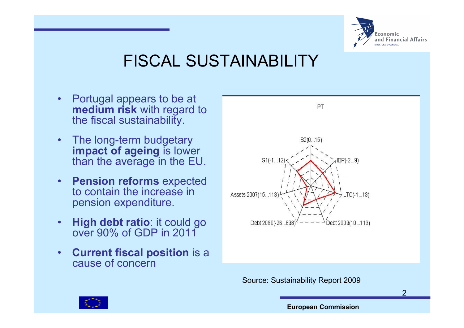

# FISCAL SUSTAINABILITY

- • Portugal appears to be at **medium risk** with regard to the fiscal sustainability.
- • The long-term budgetary **impact of ageing** is lower than the average in the EU.
- • **Pension reforms** expected to contain the increase in pension expenditure.
- • **High debt ratio**: it could go over 90% of GDP in 2011
- • **Current fiscal position** is a cause of concern



Source: Sustainability Report 2009

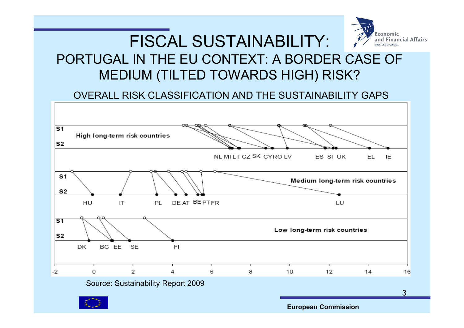#### Economic FISCAL SUSTAINABILITY: and Financial Affairs PORTUGAL IN THE EU CONTEXT: A BORDER CASE OF MEDIUM (TILTED TOWARDS HIGH) RISK?

OVERALL RISK CLASSIFICATION AND THE SUSTAINABILITY GAPS

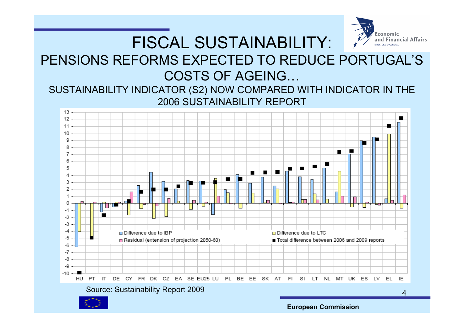## FISCAL SUSTAINABILITY:



#### PENSIONS REFORMS EXPECTED TO REDUCE PORTUGAL'S COSTS OF AGEING…

#### SUSTAINABILITY INDICATOR (S2) NOW COMPARED WITH INDICATOR IN THE 2006 SUSTAINABILITY REPORT

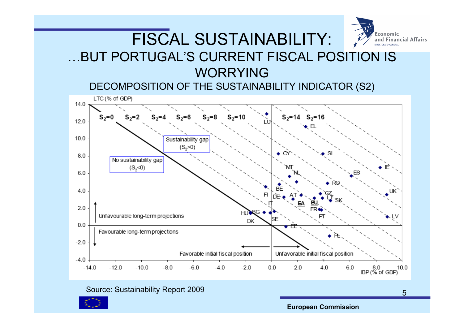

#### FISCAL SUSTAINABILITY: …BUT PORTUGAL'S CURRENT FISCAL POSITION IS WORRYING

DECOMPOSITION OF THE SUSTAINABILITY INDICATOR (S2)



#### Source: Sustainability Report 2009



**European Commission**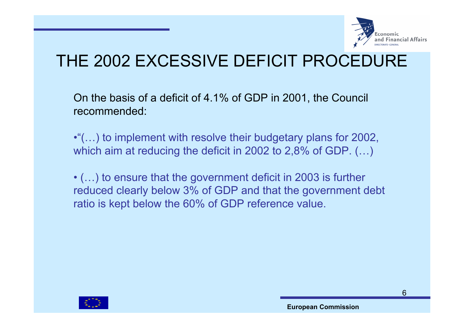

#### THE 2002 EXCESSIVE DEFICIT PROCEDURE

On the basis of a deficit of 4.1% of GDP in 2001, the Council recommended:

•"(…) to implement with resolve their budgetary plans for 2002, which aim at reducing the deficit in 2002 to 2,8% of GDP. (…)

• (…) to ensure that the government deficit in 2003 is further reduced clearly below 3% of GDP and that the government debt ratio is kept below the 60% of GDP reference value.

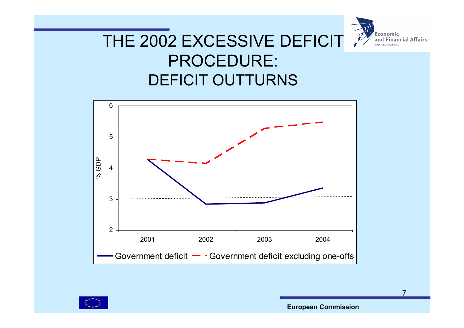

#### THE 2002 EXCESSIVE DEFICIT PROCEDURE: DEFICIT OUTTURNS





**European Commission**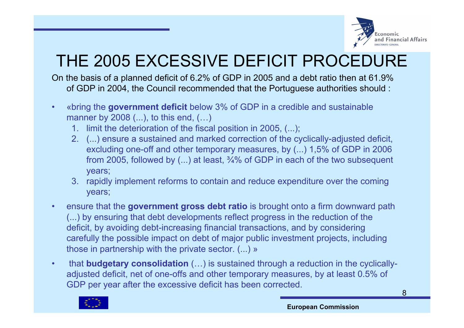

# THE 2005 EXCESSIVE DEFICIT PROCEDURE

On the basis of a planned deficit of 6.2% of GDP in 2005 and a debt ratio then at 61.9% of GDP in 2004, the Council recommended that the Portuguese authorities should :

- • «bring the **government deficit** below 3% of GDP in a credible and sustainable manner by 2008 (...), to this end, (...)
	- 1. limit the deterioration of the fiscal position in 2005, (...);
	- 2. (...) ensure a sustained and marked correction of the cyclically-adjusted deficit, excluding one-off and other temporary measures, by (...) 1,5% of GDP in 2006 from 2005, followed by (...) at least, ¾% of GDP in each of the two subsequent years;
	- 3. rapidly implement reforms to contain and reduce expenditure over the coming years;
- • ensure that the **government gross debt ratio** is brought onto a firm downward path (...) by ensuring that debt developments reflect progress in the reduction of the deficit, by avoiding debt-increasing financial transactions, and by considering carefully the possible impact on debt of major public investment projects, including those in partnership with the private sector. (...) »
- • that **budgetary consolidation** (…) is sustained through a reduction in the cyclicallyadjusted deficit, net of one-offs and other temporary measures, by at least 0.5% of GDP per year after the excessive deficit has been corrected.

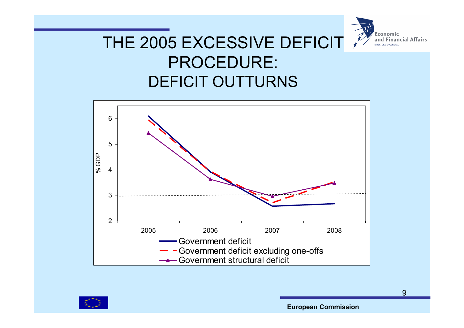

#### THE 2005 EXCESSIVE DEFICIT PROCEDURE: DEFICIT OUTTURNS





**European Commission**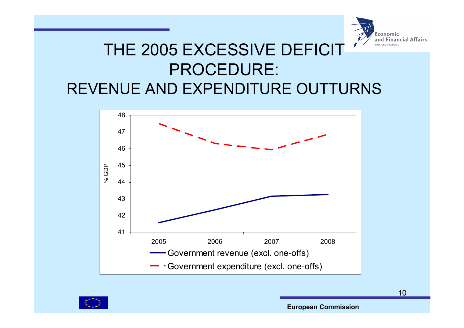

#### THE 2005 EXCESSIVE DEFICIT PROCEDURE: REVENUE AND EXPENDITURE OUTTURNS





**European Commission**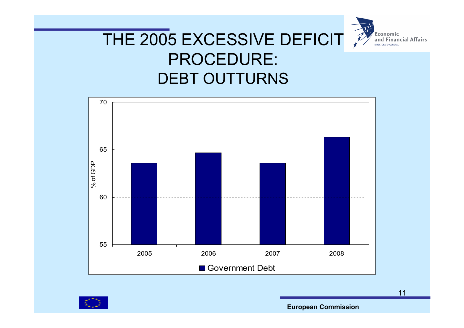

#### THE 2005 EXCESSIVE DEFICIT PROCEDURE: DEBT OUTTURNS





**European Commission**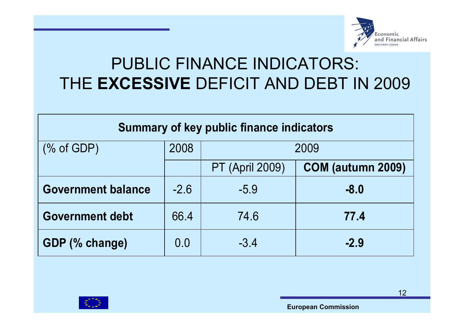

#### PUBLIC FINANCE INDICATORS: THE **EXCESSIVE** DEFICIT AND DEBT IN 2009

| <b>Summary of key public finance indicators</b> |        |                        |                   |
|-------------------------------------------------|--------|------------------------|-------------------|
| (% of GDP)                                      | 2008   | 2009                   |                   |
|                                                 |        | <b>PT (April 2009)</b> | COM (autumn 2009) |
| <b>Government balance</b>                       | $-2.6$ | $-5.9$                 | $-8.0$            |
| <b>Government debt</b>                          | 66.4   | 74.6                   | 77.4              |
| GDP (% change)                                  | 0.0    | $-3.4$                 | $-2.9$            |

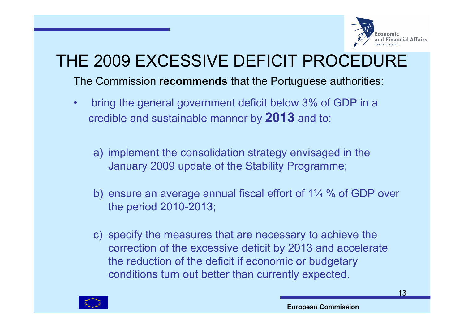

# THE 2009 EXCESSIVE DEFICIT PROCEDURE

The Commission **recommends** that the Portuguese authorities:

- • bring the general government deficit below 3% of GDP in a credible and sustainable manner by **2013** and to:
	- a) implement the consolidation strategy envisaged in the January 2009 update of the Stability Programme;
	- b) ensure an average annual fiscal effort of 1¼ % of GDP over the period 2010-2013;
	- c) specify the measures that are necessary to achieve the correction of the excessive deficit by 2013 and accelerate the reduction of the deficit if economic or budgetary conditions turn out better than currently expected.

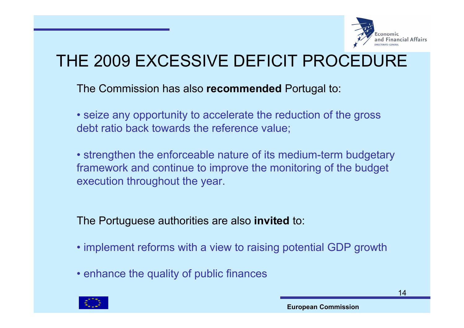

# THE 2009 EXCESSIVE DEFICIT PROCEDURE

The Commission has also **recommended** Portugal to:

• seize any opportunity to accelerate the reduction of the gross debt ratio back towards the reference value;

• strengthen the enforceable nature of its medium-term budgetary framework and continue to improve the monitoring of the budget execution throughout the year.

The Portuguese authorities are also **invited** to:

- implement reforms with a view to raising potential GDP growth
- enhance the quality of public finances

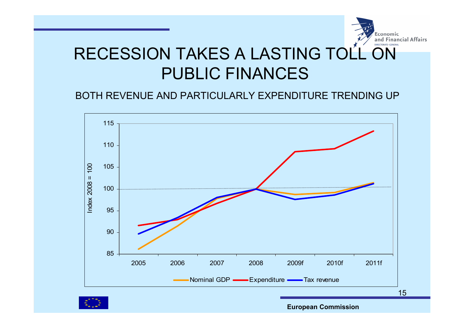

#### BOTH REVENUE AND PARTICULARLY EXPENDITURE TRENDING UP



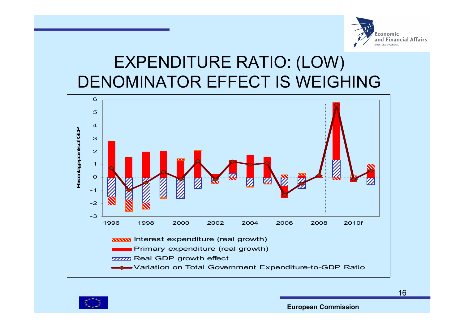

#### EXPENDITURE RATIO: (LOW) DENOMINATOR EFFECT IS WEIGHING



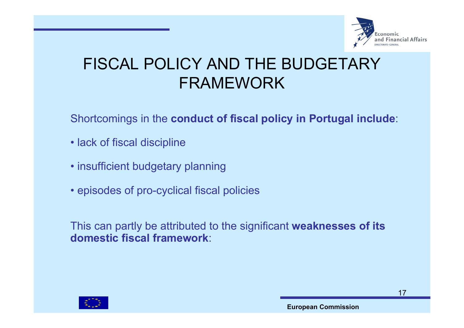

#### FISCAL POLICY AND THE BUDGETARY FRAMEWORK

#### Shortcomings in the **conduct of fiscal policy in Portugal include**:

- lack of fiscal discipline
- insufficient budgetary planning
- episodes of pro-cyclical fiscal policies

This can partly be attributed to the significant **weaknesses of its domestic fiscal framework**:

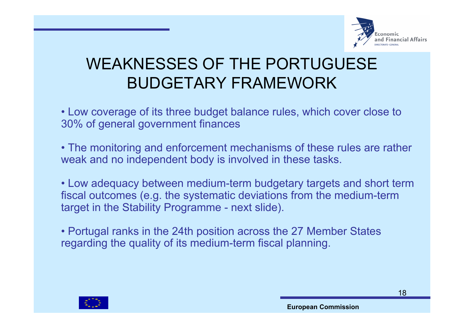

#### WEAKNESSES OF THE PORTUGUESE BUDGETARY FRAMEWORK

• Low coverage of its three budget balance rules, which cover close to 30% of general government finances

• The monitoring and enforcement mechanisms of these rules are rather weak and no independent body is involved in these tasks.

• Low adequacy between medium-term budgetary targets and short term fiscal outcomes (e.g. the systematic deviations from the medium-term target in the Stability Programme - next slide).

• Portugal ranks in the 24th position across the 27 Member States regarding the quality of its medium-term fiscal planning.

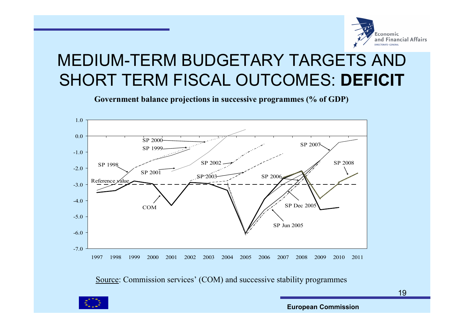

## MEDIUM-TERM BUDGETARY TARGETS AND SHORT TERM FISCAL OUTCOMES: **DEFICIT**

**Government balance projections in successive programmes (% of GDP)** 



Source: Commission services' (COM) and successive stability programmes



**European Commission**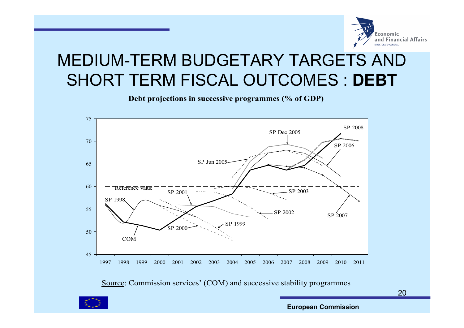

## MEDIUM-TERM BUDGETARY TARGETS AND SHORT TERM FISCAL OUTCOMES : **DEBT**

**Debt projections in successive programmes (% of GDP)** 



Source: Commission services' (COM) and successive stability programmes



**European Commission**